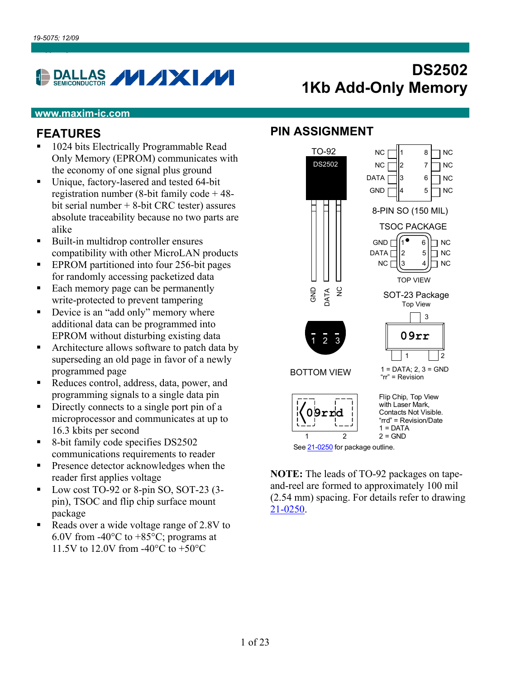# DALLAS **VIXIVI**

# **DS2502 1Kb Add-Only Memory**

#### **www.maxim-ic.com**

#### **FEATURES**

- 1024 bits Electrically Programmable Read Only Memory (EPROM) communicates with the economy of one signal plus ground
- Unique, factory-lasered and tested 64-bit registration number (8-bit family code + 48 bit serial number + 8-bit CRC tester) assures absolute traceability because no two parts are alike
- Built-in multidrop controller ensures compatibility with other MicroLAN products
- **EPROM** partitioned into four 256-bit pages for randomly accessing packetized data
- Each memory page can be permanently write-protected to prevent tampering
- Device is an "add only" memory where additional data can be programmed into EPROM without disturbing existing data
- Architecture allows software to patch data by superseding an old page in favor of a newly programmed page
- Reduces control, address, data, power, and programming signals to a single data pin
- Directly connects to a single port pin of a microprocessor and communicates at up to 16.3 kbits per second
- 8-bit family code specifies DS2502 communications requirements to reader
- **Presence detector acknowledges when the** reader first applies voltage
- Low cost TO-92 or 8-pin SO, SOT-23 (3pin), TSOC and flip chip surface mount package
- Reads over a wide voltage range of 2.8V to 6.0V from -40 $\rm{^{\circ}C}$  to +85 $\rm{^{\circ}C}$ ; programs at 11.5V to 12.0V from -40°C to +50°C

#### **PIN ASSIGNMENT**



See 21-0250 for package outline.

**NOTE:** The leads of TO-92 packages on tapeand-reel are formed to approximately 100 mil (2.54 mm) spacing. For details refer to drawing [21-0250](http://pdfserv.maxim-ic.com/package_dwgs/21-0250.PDF).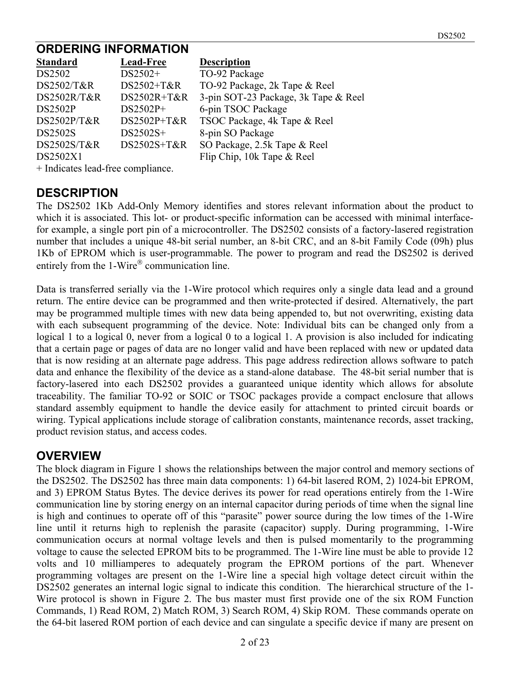#### **ORDERING INFORMATION**

| <b>Standard</b> | <b>Lead-Free</b> | <b>Description</b>                   |
|-----------------|------------------|--------------------------------------|
| DS2502          | DS2502+          | TO-92 Package                        |
| DS2502/T&R      | DS2502+T&R       | TO-92 Package, 2k Tape & Reel        |
| DS2502R/T&R     | DS2502R+T&R      | 3-pin SOT-23 Package, 3k Tape & Reel |
| <b>DS2502P</b>  | DS2502P+         | 6-pin TSOC Package                   |
| DS2502P/T&R     | DS2502P+T&R      | TSOC Package, 4k Tape & Reel         |
| <b>DS2502S</b>  | $DS2502S+$       | 8-pin SO Package                     |
| DS2502S/T&R     | DS2502S+T&R      | SO Package, 2.5k Tape & Reel         |
| DS2502X1        |                  | Flip Chip, 10k Tape & Reel           |
|                 |                  |                                      |

+ Indicates lead-free compliance.

#### **DESCRIPTION**

The DS2502 1Kb Add-Only Memory identifies and stores relevant information about the product to which it is associated. This lot- or product-specific information can be accessed with minimal interfacefor example, a single port pin of a microcontroller. The DS2502 consists of a factory-lasered registration number that includes a unique 48-bit serial number, an 8-bit CRC, and an 8-bit Family Code (09h) plus 1Kb of EPROM which is user-programmable. The power to program and read the DS2502 is derived entirely from the  $1$ -Wire<sup>®</sup> communication line.

Data is transferred serially via the 1-Wire protocol which requires only a single data lead and a ground return. The entire device can be programmed and then write-protected if desired. Alternatively, the part may be programmed multiple times with new data being appended to, but not overwriting, existing data with each subsequent programming of the device. Note: Individual bits can be changed only from a logical 1 to a logical 0, never from a logical 0 to a logical 1. A provision is also included for indicating that a certain page or pages of data are no longer valid and have been replaced with new or updated data that is now residing at an alternate page address. This page address redirection allows software to patch data and enhance the flexibility of the device as a stand-alone database. The 48-bit serial number that is factory-lasered into each DS2502 provides a guaranteed unique identity which allows for absolute traceability. The familiar TO-92 or SOIC or TSOC packages provide a compact enclosure that allows standard assembly equipment to handle the device easily for attachment to printed circuit boards or wiring. Typical applications include storage of calibration constants, maintenance records, asset tracking, product revision status, and access codes.

#### **OVERVIEW**

The block diagram in Figure 1 shows the relationships between the major control and memory sections of the DS2502. The DS2502 has three main data components: 1) 64-bit lasered ROM, 2) 1024-bit EPROM, and 3) EPROM Status Bytes. The device derives its power for read operations entirely from the 1-Wire communication line by storing energy on an internal capacitor during periods of time when the signal line is high and continues to operate off of this "parasite" power source during the low times of the 1-Wire line until it returns high to replenish the parasite (capacitor) supply. During programming, 1-Wire communication occurs at normal voltage levels and then is pulsed momentarily to the programming voltage to cause the selected EPROM bits to be programmed. The 1-Wire line must be able to provide 12 volts and 10 milliamperes to adequately program the EPROM portions of the part. Whenever programming voltages are present on the 1-Wire line a special high voltage detect circuit within the DS2502 generates an internal logic signal to indicate this condition. The hierarchical structure of the 1- Wire protocol is shown in Figure 2. The bus master must first provide one of the six ROM Function Commands, 1) Read ROM, 2) Match ROM, 3) Search ROM, 4) Skip ROM. These commands operate on the 64-bit lasered ROM portion of each device and can singulate a specific device if many are present on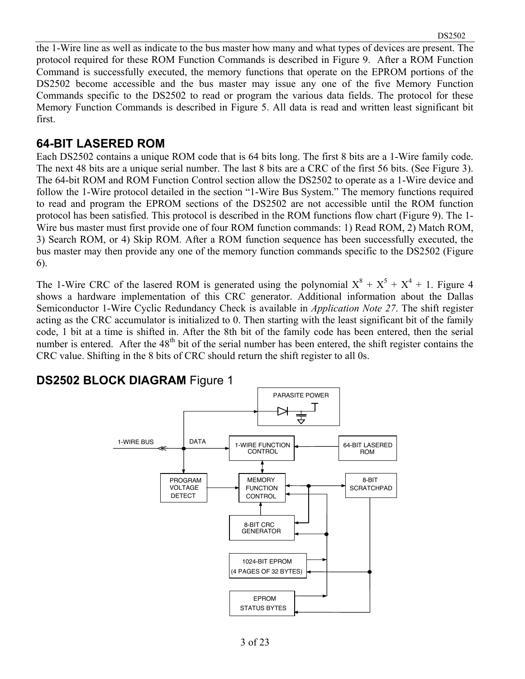the 1-Wire line as well as indicate to the bus master how many and what types of devices are present. The protocol required for these ROM Function Commands is described in Figure 9. After a ROM Function Command is successfully executed, the memory functions that operate on the EPROM portions of the DS2502 become accessible and the bus master may issue any one of the five Memory Function Commands specific to the DS2502 to read or program the various data fields. The protocol for these Memory Function Commands is described in Figure 5. All data is read and written least significant bit first.

#### **64-BIT LASERED ROM**

Each DS2502 contains a unique ROM code that is 64 bits long. The first 8 bits are a 1-Wire family code. The next 48 bits are a unique serial number. The last 8 bits are a CRC of the first 56 bits. (See Figure 3). The 64-bit ROM and ROM Function Control section allow the DS2502 to operate as a 1-Wire device and follow the 1-Wire protocol detailed in the section "1-Wire Bus System." The memory functions required to read and program the EPROM sections of the DS2502 are not accessible until the ROM function protocol has been satisfied. This protocol is described in the ROM functions flow chart (Figure 9). The 1- Wire bus master must first provide one of four ROM function commands: 1) Read ROM, 2) Match ROM, 3) Search ROM, or 4) Skip ROM. After a ROM function sequence has been successfully executed, the bus master may then provide any one of the memory function commands specific to the DS2502 (Figure 6).

The 1-Wire CRC of the lasered ROM is generated using the polynomial  $X^8 + X^5 + X^4 + 1$ . Figure 4 shows a hardware implementation of this CRC generator. Additional information about the Dallas Semiconductor 1-Wire Cyclic Redundancy Check is available in *Application Note 27*. The shift register acting as the CRC accumulator is initialized to 0. Then starting with the least significant bit of the family code, 1 bit at a time is shifted in. After the 8th bit of the family code has been entered, then the serial number is entered. After the 48<sup>th</sup> bit of the serial number has been entered, the shift register contains the CRC value. Shifting in the 8 bits of CRC should return the shift register to all 0s.

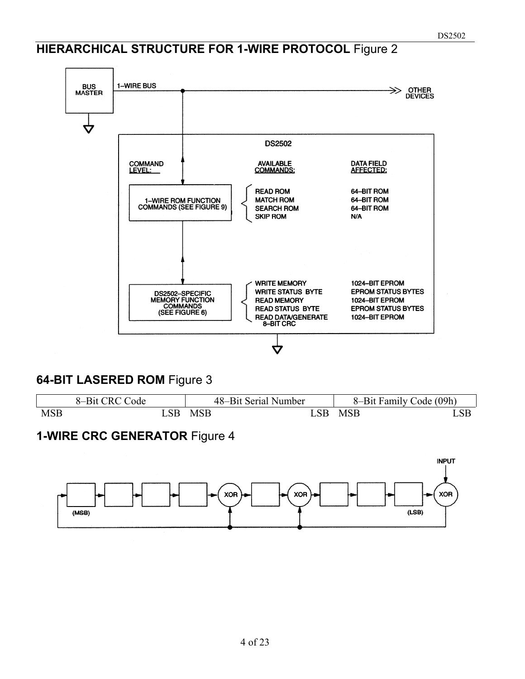### **HIERARCHICAL STRUCTURE FOR 1-WIRE PROTOCOL** Figure 2



#### **64-BIT LASERED ROM** Figure 3

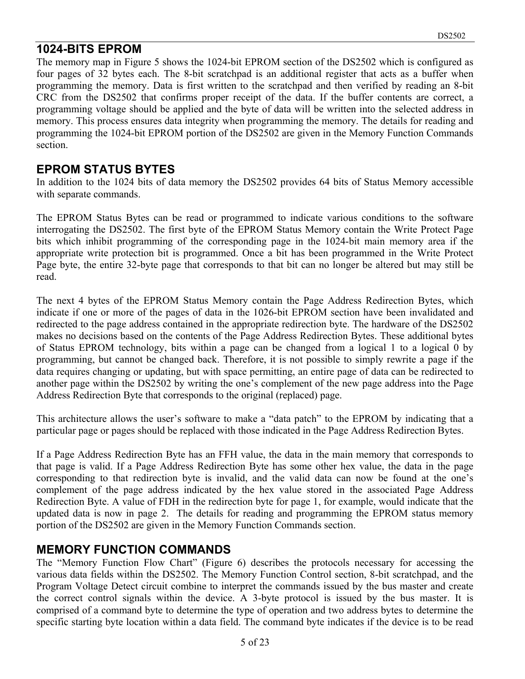#### **1024-BITS EPROM**

The memory map in Figure 5 shows the 1024-bit EPROM section of the DS2502 which is configured as four pages of 32 bytes each. The 8-bit scratchpad is an additional register that acts as a buffer when programming the memory. Data is first written to the scratchpad and then verified by reading an 8-bit CRC from the DS2502 that confirms proper receipt of the data. If the buffer contents are correct, a programming voltage should be applied and the byte of data will be written into the selected address in memory. This process ensures data integrity when programming the memory. The details for reading and programming the 1024-bit EPROM portion of the DS2502 are given in the Memory Function Commands section.

#### **EPROM STATUS BYTES**

In addition to the 1024 bits of data memory the DS2502 provides 64 bits of Status Memory accessible with separate commands.

The EPROM Status Bytes can be read or programmed to indicate various conditions to the software interrogating the DS2502. The first byte of the EPROM Status Memory contain the Write Protect Page bits which inhibit programming of the corresponding page in the 1024-bit main memory area if the appropriate write protection bit is programmed. Once a bit has been programmed in the Write Protect Page byte, the entire 32-byte page that corresponds to that bit can no longer be altered but may still be read.

The next 4 bytes of the EPROM Status Memory contain the Page Address Redirection Bytes, which indicate if one or more of the pages of data in the 1026-bit EPROM section have been invalidated and redirected to the page address contained in the appropriate redirection byte. The hardware of the DS2502 makes no decisions based on the contents of the Page Address Redirection Bytes. These additional bytes of Status EPROM technology, bits within a page can be changed from a logical 1 to a logical 0 by programming, but cannot be changed back. Therefore, it is not possible to simply rewrite a page if the data requires changing or updating, but with space permitting, an entire page of data can be redirected to another page within the DS2502 by writing the one's complement of the new page address into the Page Address Redirection Byte that corresponds to the original (replaced) page.

This architecture allows the user's software to make a "data patch" to the EPROM by indicating that a particular page or pages should be replaced with those indicated in the Page Address Redirection Bytes.

If a Page Address Redirection Byte has an FFH value, the data in the main memory that corresponds to that page is valid. If a Page Address Redirection Byte has some other hex value, the data in the page corresponding to that redirection byte is invalid, and the valid data can now be found at the one's complement of the page address indicated by the hex value stored in the associated Page Address Redirection Byte. A value of FDH in the redirection byte for page 1, for example, would indicate that the updated data is now in page 2. The details for reading and programming the EPROM status memory portion of the DS2502 are given in the Memory Function Commands section.

#### **MEMORY FUNCTION COMMANDS**

The "Memory Function Flow Chart" (Figure 6) describes the protocols necessary for accessing the various data fields within the DS2502. The Memory Function Control section, 8-bit scratchpad, and the Program Voltage Detect circuit combine to interpret the commands issued by the bus master and create the correct control signals within the device. A 3-byte protocol is issued by the bus master. It is comprised of a command byte to determine the type of operation and two address bytes to determine the specific starting byte location within a data field. The command byte indicates if the device is to be read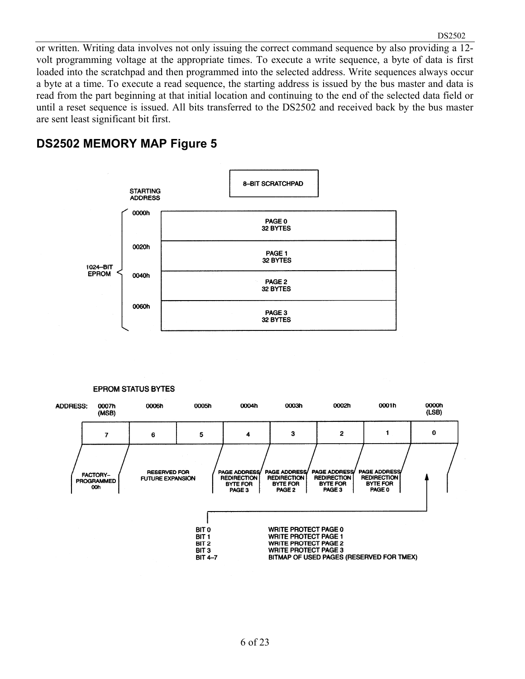or written. Writing data involves not only issuing the correct command sequence by also providing a 12 volt programming voltage at the appropriate times. To execute a write sequence, a byte of data is first loaded into the scratchpad and then programmed into the selected address. Write sequences always occur a byte at a time. To execute a read sequence, the starting address is issued by the bus master and data is read from the part beginning at that initial location and continuing to the end of the selected data field or until a reset sequence is issued. All bits transferred to the DS2502 and received back by the bus master are sent least significant bit first.

#### **DS2502 MEMORY MAP Figure 5**



#### **EPROM STATUS BYTES**

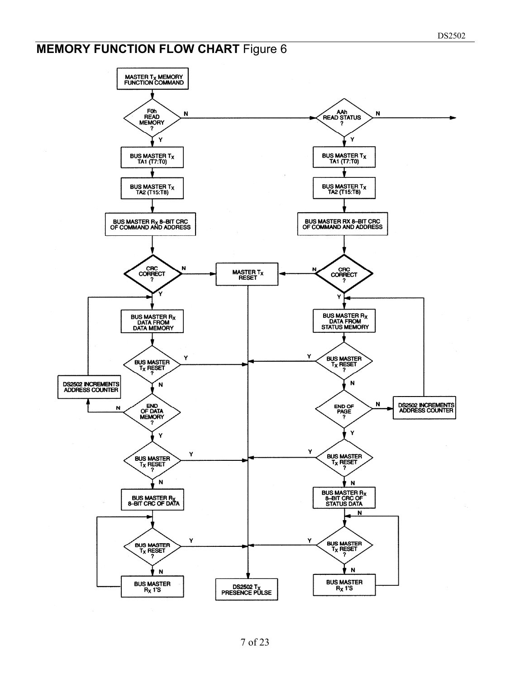# **MEMORY FUNCTION FLOW CHART Figure 6**

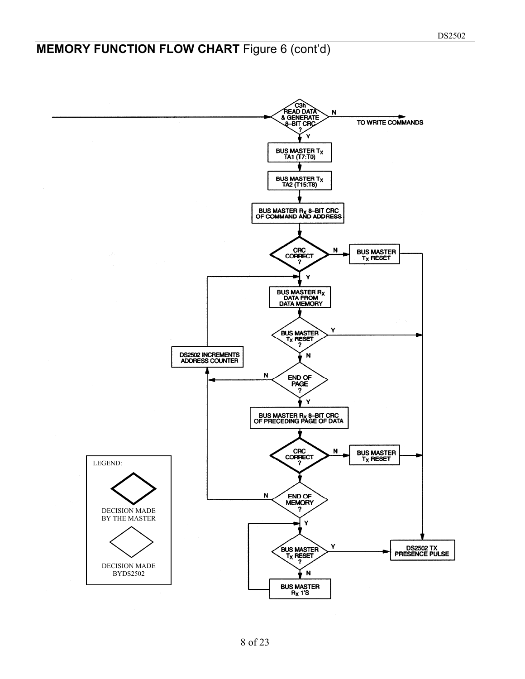### **MEMORY FUNCTION FLOW CHART** Figure 6 (cont'd)

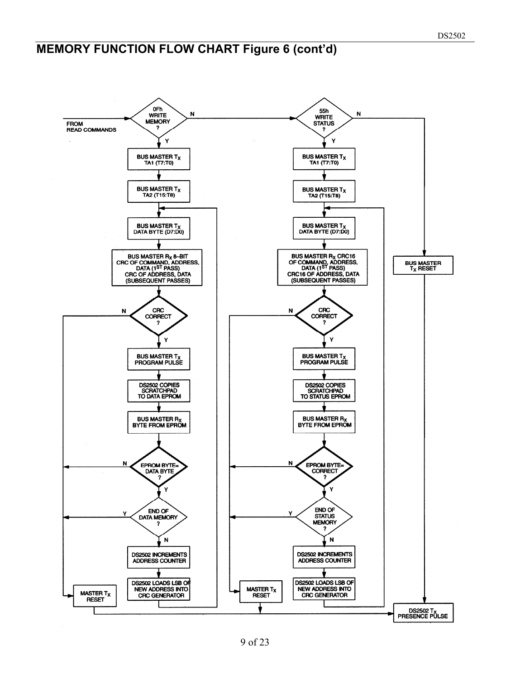# **MEMORY FUNCTION FLOW CHART Figure 6 (cont'd)**

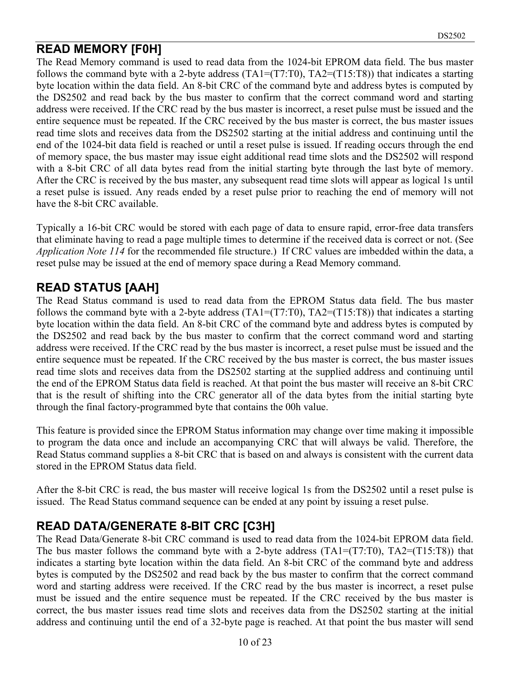### **READ MEMORY [F0H]**

The Read Memory command is used to read data from the 1024-bit EPROM data field. The bus master follows the command byte with a 2-byte address  $(TA1=(T7:T0), TA2=(T15:T8))$  that indicates a starting byte location within the data field. An 8-bit CRC of the command byte and address bytes is computed by the DS2502 and read back by the bus master to confirm that the correct command word and starting address were received. If the CRC read by the bus master is incorrect, a reset pulse must be issued and the entire sequence must be repeated. If the CRC received by the bus master is correct, the bus master issues read time slots and receives data from the DS2502 starting at the initial address and continuing until the end of the 1024-bit data field is reached or until a reset pulse is issued. If reading occurs through the end of memory space, the bus master may issue eight additional read time slots and the DS2502 will respond with a 8-bit CRC of all data bytes read from the initial starting byte through the last byte of memory. After the CRC is received by the bus master, any subsequent read time slots will appear as logical 1s until a reset pulse is issued. Any reads ended by a reset pulse prior to reaching the end of memory will not have the 8-bit CRC available.

Typically a 16-bit CRC would be stored with each page of data to ensure rapid, error-free data transfers that eliminate having to read a page multiple times to determine if the received data is correct or not. (See *Application Note 114* for the recommended file structure.) If CRC values are imbedded within the data, a reset pulse may be issued at the end of memory space during a Read Memory command.

### **READ STATUS [AAH]**

The Read Status command is used to read data from the EPROM Status data field. The bus master follows the command byte with a 2-byte address  $(TAI=(T7:T0), TA2=(T15:T8))$  that indicates a starting byte location within the data field. An 8-bit CRC of the command byte and address bytes is computed by the DS2502 and read back by the bus master to confirm that the correct command word and starting address were received. If the CRC read by the bus master is incorrect, a reset pulse must be issued and the entire sequence must be repeated. If the CRC received by the bus master is correct, the bus master issues read time slots and receives data from the DS2502 starting at the supplied address and continuing until the end of the EPROM Status data field is reached. At that point the bus master will receive an 8-bit CRC that is the result of shifting into the CRC generator all of the data bytes from the initial starting byte through the final factory-programmed byte that contains the 00h value.

This feature is provided since the EPROM Status information may change over time making it impossible to program the data once and include an accompanying CRC that will always be valid. Therefore, the Read Status command supplies a 8-bit CRC that is based on and always is consistent with the current data stored in the EPROM Status data field.

After the 8-bit CRC is read, the bus master will receive logical 1s from the DS2502 until a reset pulse is issued. The Read Status command sequence can be ended at any point by issuing a reset pulse.

### **READ DATA/GENERATE 8-BIT CRC [C3H]**

The Read Data/Generate 8-bit CRC command is used to read data from the 1024-bit EPROM data field. The bus master follows the command byte with a 2-byte address  $(TA1=(T7:T0), TA2=(T15:T8))$  that indicates a starting byte location within the data field. An 8-bit CRC of the command byte and address bytes is computed by the DS2502 and read back by the bus master to confirm that the correct command word and starting address were received. If the CRC read by the bus master is incorrect, a reset pulse must be issued and the entire sequence must be repeated. If the CRC received by the bus master is correct, the bus master issues read time slots and receives data from the DS2502 starting at the initial address and continuing until the end of a 32-byte page is reached. At that point the bus master will send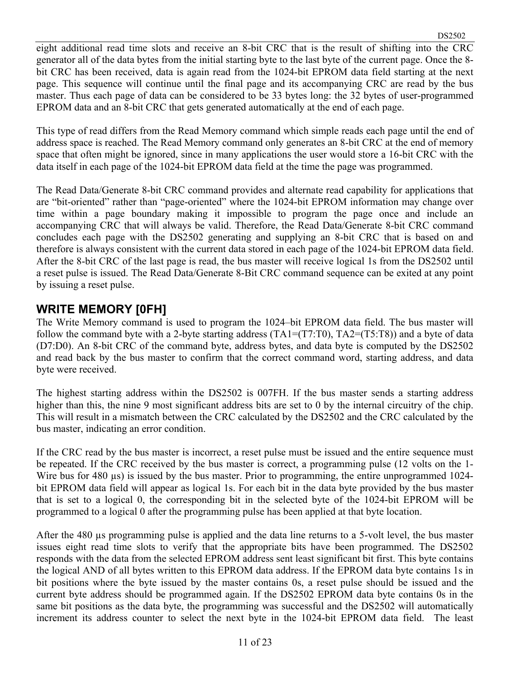eight additional read time slots and receive an 8-bit CRC that is the result of shifting into the CRC generator all of the data bytes from the initial starting byte to the last byte of the current page. Once the 8 bit CRC has been received, data is again read from the 1024-bit EPROM data field starting at the next page. This sequence will continue until the final page and its accompanying CRC are read by the bus master. Thus each page of data can be considered to be 33 bytes long: the 32 bytes of user-programmed EPROM data and an 8-bit CRC that gets generated automatically at the end of each page.

This type of read differs from the Read Memory command which simple reads each page until the end of address space is reached. The Read Memory command only generates an 8-bit CRC at the end of memory space that often might be ignored, since in many applications the user would store a 16-bit CRC with the data itself in each page of the 1024-bit EPROM data field at the time the page was programmed.

The Read Data/Generate 8-bit CRC command provides and alternate read capability for applications that are "bit-oriented" rather than "page-oriented" where the 1024-bit EPROM information may change over time within a page boundary making it impossible to program the page once and include an accompanying CRC that will always be valid. Therefore, the Read Data/Generate 8-bit CRC command concludes each page with the DS2502 generating and supplying an 8-bit CRC that is based on and therefore is always consistent with the current data stored in each page of the 1024-bit EPROM data field. After the 8-bit CRC of the last page is read, the bus master will receive logical 1s from the DS2502 until a reset pulse is issued. The Read Data/Generate 8-Bit CRC command sequence can be exited at any point by issuing a reset pulse.

#### **WRITE MEMORY [0FH]**

The Write Memory command is used to program the 1024–bit EPROM data field. The bus master will follow the command byte with a 2-byte starting address  $(TA1=(T7:T0), TA2=(T5:T8))$  and a byte of data (D7:D0). An 8-bit CRC of the command byte, address bytes, and data byte is computed by the DS2502 and read back by the bus master to confirm that the correct command word, starting address, and data byte were received.

The highest starting address within the DS2502 is 007FH. If the bus master sends a starting address higher than this, the nine 9 most significant address bits are set to 0 by the internal circuitry of the chip. This will result in a mismatch between the CRC calculated by the DS2502 and the CRC calculated by the bus master, indicating an error condition.

If the CRC read by the bus master is incorrect, a reset pulse must be issued and the entire sequence must be repeated. If the CRC received by the bus master is correct, a programming pulse (12 volts on the 1- Wire bus for 480 µs) is issued by the bus master. Prior to programming, the entire unprogrammed 1024bit EPROM data field will appear as logical 1s. For each bit in the data byte provided by the bus master that is set to a logical 0, the corresponding bit in the selected byte of the 1024-bit EPROM will be programmed to a logical 0 after the programming pulse has been applied at that byte location.

After the 480 µs programming pulse is applied and the data line returns to a 5-volt level, the bus master issues eight read time slots to verify that the appropriate bits have been programmed. The DS2502 responds with the data from the selected EPROM address sent least significant bit first. This byte contains the logical AND of all bytes written to this EPROM data address. If the EPROM data byte contains 1s in bit positions where the byte issued by the master contains 0s, a reset pulse should be issued and the current byte address should be programmed again. If the DS2502 EPROM data byte contains 0s in the same bit positions as the data byte, the programming was successful and the DS2502 will automatically increment its address counter to select the next byte in the 1024-bit EPROM data field. The least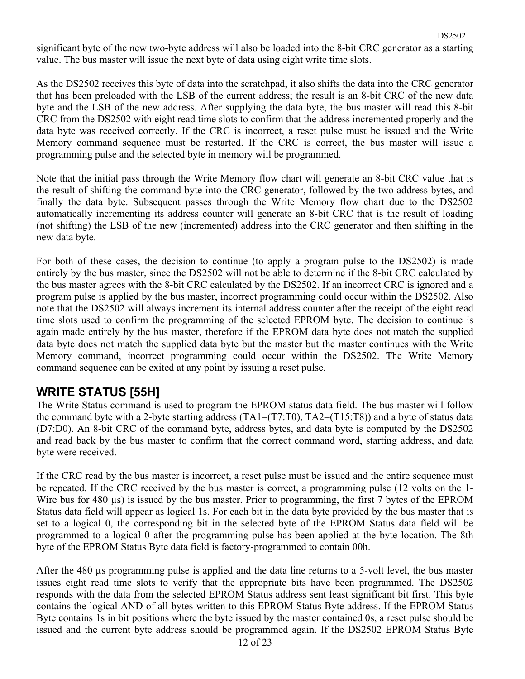significant byte of the new two-byte address will also be loaded into the 8-bit CRC generator as a starting value. The bus master will issue the next byte of data using eight write time slots.

As the DS2502 receives this byte of data into the scratchpad, it also shifts the data into the CRC generator that has been preloaded with the LSB of the current address; the result is an 8-bit CRC of the new data byte and the LSB of the new address. After supplying the data byte, the bus master will read this 8-bit CRC from the DS2502 with eight read time slots to confirm that the address incremented properly and the data byte was received correctly. If the CRC is incorrect, a reset pulse must be issued and the Write Memory command sequence must be restarted. If the CRC is correct, the bus master will issue a programming pulse and the selected byte in memory will be programmed.

Note that the initial pass through the Write Memory flow chart will generate an 8-bit CRC value that is the result of shifting the command byte into the CRC generator, followed by the two address bytes, and finally the data byte. Subsequent passes through the Write Memory flow chart due to the DS2502 automatically incrementing its address counter will generate an 8-bit CRC that is the result of loading (not shifting) the LSB of the new (incremented) address into the CRC generator and then shifting in the new data byte.

For both of these cases, the decision to continue (to apply a program pulse to the DS2502) is made entirely by the bus master, since the DS2502 will not be able to determine if the 8-bit CRC calculated by the bus master agrees with the 8-bit CRC calculated by the DS2502. If an incorrect CRC is ignored and a program pulse is applied by the bus master, incorrect programming could occur within the DS2502. Also note that the DS2502 will always increment its internal address counter after the receipt of the eight read time slots used to confirm the programming of the selected EPROM byte. The decision to continue is again made entirely by the bus master, therefore if the EPROM data byte does not match the supplied data byte does not match the supplied data byte but the master but the master continues with the Write Memory command, incorrect programming could occur within the DS2502. The Write Memory command sequence can be exited at any point by issuing a reset pulse.

#### **WRITE STATUS [55H]**

The Write Status command is used to program the EPROM status data field. The bus master will follow the command byte with a 2-byte starting address (TA1=(T7:T0), TA2=(T15:T8)) and a byte of status data (D7:D0). An 8-bit CRC of the command byte, address bytes, and data byte is computed by the DS2502 and read back by the bus master to confirm that the correct command word, starting address, and data byte were received.

If the CRC read by the bus master is incorrect, a reset pulse must be issued and the entire sequence must be repeated. If the CRC received by the bus master is correct, a programming pulse (12 volts on the 1- Wire bus for 480 µs) is issued by the bus master. Prior to programming, the first 7 bytes of the EPROM Status data field will appear as logical 1s. For each bit in the data byte provided by the bus master that is set to a logical 0, the corresponding bit in the selected byte of the EPROM Status data field will be programmed to a logical 0 after the programming pulse has been applied at the byte location. The 8th byte of the EPROM Status Byte data field is factory-programmed to contain 00h.

After the 480 µs programming pulse is applied and the data line returns to a 5-volt level, the bus master issues eight read time slots to verify that the appropriate bits have been programmed. The DS2502 responds with the data from the selected EPROM Status address sent least significant bit first. This byte contains the logical AND of all bytes written to this EPROM Status Byte address. If the EPROM Status Byte contains 1s in bit positions where the byte issued by the master contained 0s, a reset pulse should be issued and the current byte address should be programmed again. If the DS2502 EPROM Status Byte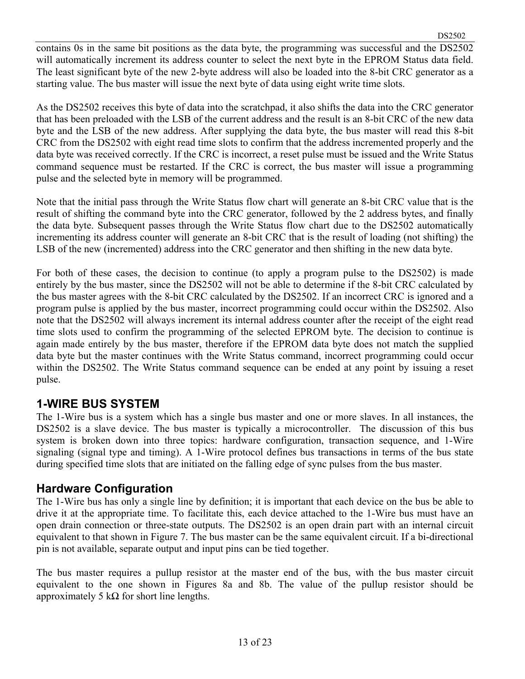contains 0s in the same bit positions as the data byte, the programming was successful and the DS2502 will automatically increment its address counter to select the next byte in the EPROM Status data field. The least significant byte of the new 2-byte address will also be loaded into the 8-bit CRC generator as a starting value. The bus master will issue the next byte of data using eight write time slots.

As the DS2502 receives this byte of data into the scratchpad, it also shifts the data into the CRC generator that has been preloaded with the LSB of the current address and the result is an 8-bit CRC of the new data byte and the LSB of the new address. After supplying the data byte, the bus master will read this 8-bit CRC from the DS2502 with eight read time slots to confirm that the address incremented properly and the data byte was received correctly. If the CRC is incorrect, a reset pulse must be issued and the Write Status command sequence must be restarted. If the CRC is correct, the bus master will issue a programming pulse and the selected byte in memory will be programmed.

Note that the initial pass through the Write Status flow chart will generate an 8-bit CRC value that is the result of shifting the command byte into the CRC generator, followed by the 2 address bytes, and finally the data byte. Subsequent passes through the Write Status flow chart due to the DS2502 automatically incrementing its address counter will generate an 8-bit CRC that is the result of loading (not shifting) the LSB of the new (incremented) address into the CRC generator and then shifting in the new data byte.

For both of these cases, the decision to continue (to apply a program pulse to the DS2502) is made entirely by the bus master, since the DS2502 will not be able to determine if the 8-bit CRC calculated by the bus master agrees with the 8-bit CRC calculated by the DS2502. If an incorrect CRC is ignored and a program pulse is applied by the bus master, incorrect programming could occur within the DS2502. Also note that the DS2502 will always increment its internal address counter after the receipt of the eight read time slots used to confirm the programming of the selected EPROM byte. The decision to continue is again made entirely by the bus master, therefore if the EPROM data byte does not match the supplied data byte but the master continues with the Write Status command, incorrect programming could occur within the DS2502. The Write Status command sequence can be ended at any point by issuing a reset pulse.

#### **1-WIRE BUS SYSTEM**

The 1-Wire bus is a system which has a single bus master and one or more slaves. In all instances, the DS2502 is a slave device. The bus master is typically a microcontroller. The discussion of this bus system is broken down into three topics: hardware configuration, transaction sequence, and 1-Wire signaling (signal type and timing). A 1-Wire protocol defines bus transactions in terms of the bus state during specified time slots that are initiated on the falling edge of sync pulses from the bus master.

#### **Hardware Configuration**

The 1-Wire bus has only a single line by definition; it is important that each device on the bus be able to drive it at the appropriate time. To facilitate this, each device attached to the 1-Wire bus must have an open drain connection or three-state outputs. The DS2502 is an open drain part with an internal circuit equivalent to that shown in Figure 7. The bus master can be the same equivalent circuit. If a bi-directional pin is not available, separate output and input pins can be tied together.

The bus master requires a pullup resistor at the master end of the bus, with the bus master circuit equivalent to the one shown in Figures 8a and 8b. The value of the pullup resistor should be approximately 5 kΩ for short line lengths.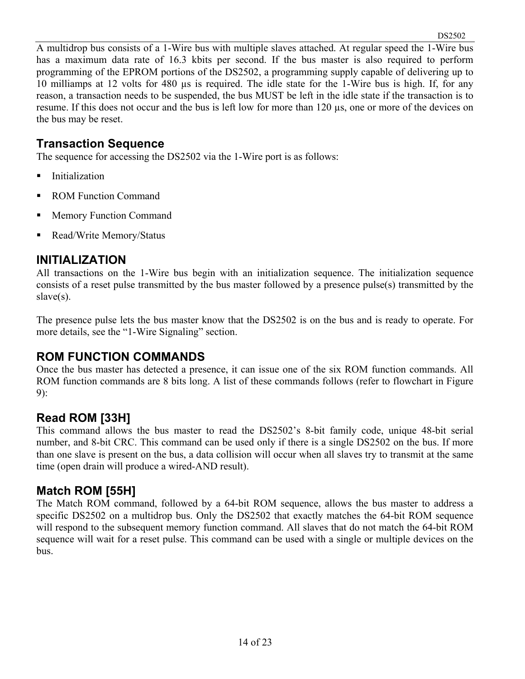A multidrop bus consists of a 1-Wire bus with multiple slaves attached. At regular speed the 1-Wire bus has a maximum data rate of 16.3 kbits per second. If the bus master is also required to perform programming of the EPROM portions of the DS2502, a programming supply capable of delivering up to 10 milliamps at 12 volts for 480 µs is required. The idle state for the 1-Wire bus is high. If, for any reason, a transaction needs to be suspended, the bus MUST be left in the idle state if the transaction is to resume. If this does not occur and the bus is left low for more than 120 µs, one or more of the devices on the bus may be reset.

#### **Transaction Sequence**

The sequence for accessing the DS2502 via the 1-Wire port is as follows:

- **I**nitialization
- ROM Function Command
- **Memory Function Command**
- Read/Write Memory/Status

#### **INITIALIZATION**

All transactions on the 1-Wire bus begin with an initialization sequence. The initialization sequence consists of a reset pulse transmitted by the bus master followed by a presence pulse(s) transmitted by the slave(s).

The presence pulse lets the bus master know that the DS2502 is on the bus and is ready to operate. For more details, see the "1-Wire Signaling" section.

#### **ROM FUNCTION COMMANDS**

Once the bus master has detected a presence, it can issue one of the six ROM function commands. All ROM function commands are 8 bits long. A list of these commands follows (refer to flowchart in Figure 9):

### **Read ROM [33H]**

This command allows the bus master to read the DS2502's 8-bit family code, unique 48-bit serial number, and 8-bit CRC. This command can be used only if there is a single DS2502 on the bus. If more than one slave is present on the bus, a data collision will occur when all slaves try to transmit at the same time (open drain will produce a wired-AND result).

#### **Match ROM [55H]**

The Match ROM command, followed by a 64-bit ROM sequence, allows the bus master to address a specific DS2502 on a multidrop bus. Only the DS2502 that exactly matches the 64-bit ROM sequence will respond to the subsequent memory function command. All slaves that do not match the 64-bit ROM sequence will wait for a reset pulse. This command can be used with a single or multiple devices on the bus.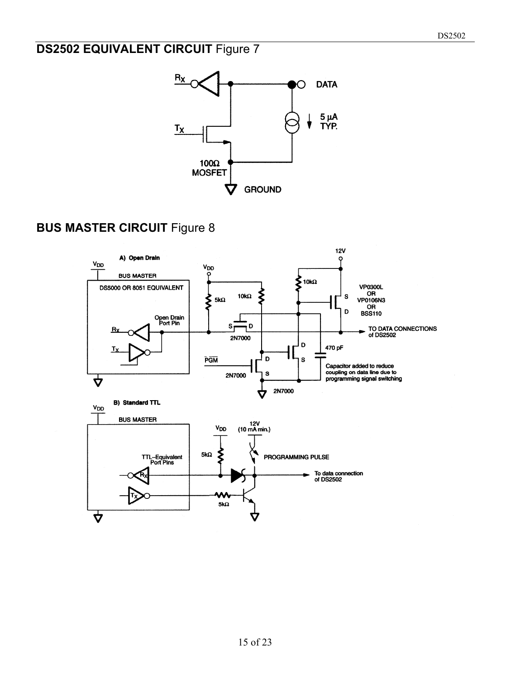# **DS2502 EQUIVALENT CIRCUIT Figure 7**



# **BUS MASTER CIRCUIT Figure 8**

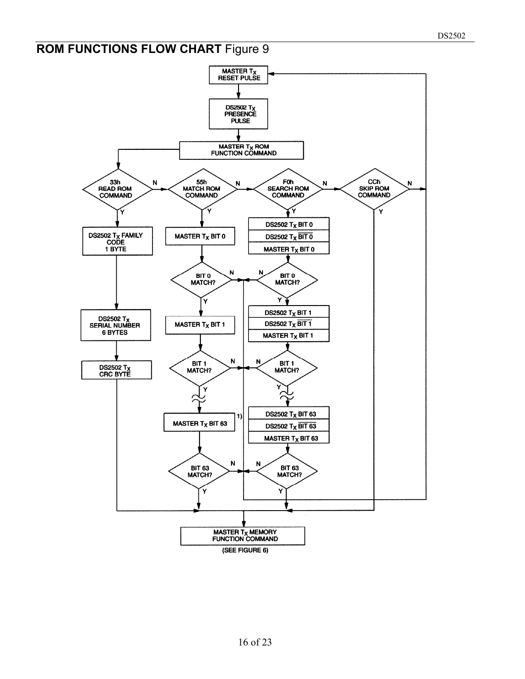# **ROM FUNCTIONS FLOW CHART Figure 9**

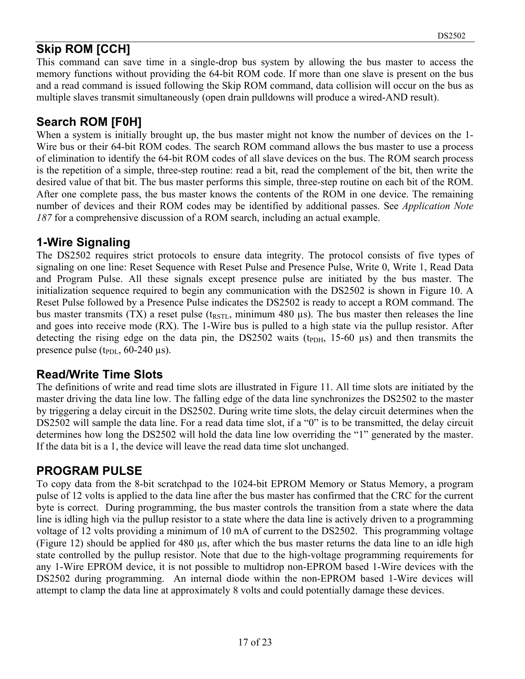# **Skip ROM [CCH]**

This command can save time in a single-drop bus system by allowing the bus master to access the memory functions without providing the 64-bit ROM code. If more than one slave is present on the bus and a read command is issued following the Skip ROM command, data collision will occur on the bus as multiple slaves transmit simultaneously (open drain pulldowns will produce a wired-AND result).

### **Search ROM [F0H]**

When a system is initially brought up, the bus master might not know the number of devices on the 1-Wire bus or their 64-bit ROM codes. The search ROM command allows the bus master to use a process of elimination to identify the 64-bit ROM codes of all slave devices on the bus. The ROM search process is the repetition of a simple, three-step routine: read a bit, read the complement of the bit, then write the desired value of that bit. The bus master performs this simple, three-step routine on each bit of the ROM. After one complete pass, the bus master knows the contents of the ROM in one device. The remaining number of devices and their ROM codes may be identified by additional passes. See *Application Note 187* for a comprehensive discussion of a ROM search, including an actual example.

### **1-Wire Signaling**

The DS2502 requires strict protocols to ensure data integrity. The protocol consists of five types of signaling on one line: Reset Sequence with Reset Pulse and Presence Pulse, Write 0, Write 1, Read Data and Program Pulse. All these signals except presence pulse are initiated by the bus master. The initialization sequence required to begin any communication with the DS2502 is shown in Figure 10. A Reset Pulse followed by a Presence Pulse indicates the DS2502 is ready to accept a ROM command. The bus master transmits (TX) a reset pulse ( $t_{RSTL}$ , minimum 480 µs). The bus master then releases the line and goes into receive mode (RX). The 1-Wire bus is pulled to a high state via the pullup resistor. After detecting the rising edge on the data pin, the DS2502 waits ( $t_{\text{PDH}}$ , 15-60  $\mu$ s) and then transmits the presence pulse ( $t_{PDL}$ , 60-240  $\mu$ s).

#### **Read/Write Time Slots**

The definitions of write and read time slots are illustrated in Figure 11. All time slots are initiated by the master driving the data line low. The falling edge of the data line synchronizes the DS2502 to the master by triggering a delay circuit in the DS2502. During write time slots, the delay circuit determines when the DS2502 will sample the data line. For a read data time slot, if a "0" is to be transmitted, the delay circuit determines how long the DS2502 will hold the data line low overriding the "1" generated by the master. If the data bit is a 1, the device will leave the read data time slot unchanged.

#### **PROGRAM PULSE**

To copy data from the 8-bit scratchpad to the 1024-bit EPROM Memory or Status Memory, a program pulse of 12 volts is applied to the data line after the bus master has confirmed that the CRC for the current byte is correct. During programming, the bus master controls the transition from a state where the data line is idling high via the pullup resistor to a state where the data line is actively driven to a programming voltage of 12 volts providing a minimum of 10 mA of current to the DS2502. This programming voltage (Figure 12) should be applied for 480 µs, after which the bus master returns the data line to an idle high state controlled by the pullup resistor. Note that due to the high-voltage programming requirements for any 1-Wire EPROM device, it is not possible to multidrop non-EPROM based 1-Wire devices with the DS2502 during programming. An internal diode within the non-EPROM based 1-Wire devices will attempt to clamp the data line at approximately 8 volts and could potentially damage these devices.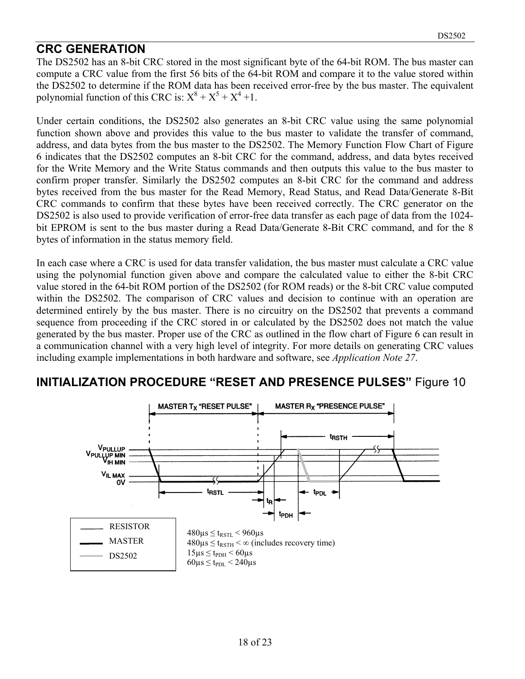#### **CRC GENERATION**

The DS2502 has an 8-bit CRC stored in the most significant byte of the 64-bit ROM. The bus master can compute a CRC value from the first 56 bits of the 64-bit ROM and compare it to the value stored within the DS2502 to determine if the ROM data has been received error-free by the bus master. The equivalent polynomial function of this CRC is:  $X^8 + X^5 + X^4 + 1$ .

Under certain conditions, the DS2502 also generates an 8-bit CRC value using the same polynomial function shown above and provides this value to the bus master to validate the transfer of command, address, and data bytes from the bus master to the DS2502. The Memory Function Flow Chart of Figure 6 indicates that the DS2502 computes an 8-bit CRC for the command, address, and data bytes received for the Write Memory and the Write Status commands and then outputs this value to the bus master to confirm proper transfer. Similarly the DS2502 computes an 8-bit CRC for the command and address bytes received from the bus master for the Read Memory, Read Status, and Read Data/Generate 8-Bit CRC commands to confirm that these bytes have been received correctly. The CRC generator on the DS2502 is also used to provide verification of error-free data transfer as each page of data from the 1024 bit EPROM is sent to the bus master during a Read Data/Generate 8-Bit CRC command, and for the 8 bytes of information in the status memory field.

In each case where a CRC is used for data transfer validation, the bus master must calculate a CRC value using the polynomial function given above and compare the calculated value to either the 8-bit CRC value stored in the 64-bit ROM portion of the DS2502 (for ROM reads) or the 8-bit CRC value computed within the DS2502. The comparison of CRC values and decision to continue with an operation are determined entirely by the bus master. There is no circuitry on the DS2502 that prevents a command sequence from proceeding if the CRC stored in or calculated by the DS2502 does not match the value generated by the bus master. Proper use of the CRC as outlined in the flow chart of Figure 6 can result in a communication channel with a very high level of integrity. For more details on generating CRC values including example implementations in both hardware and software, see *Application Note 27*.

#### **INITIALIZATION PROCEDURE "RESET AND PRESENCE PULSES"** Figure 10

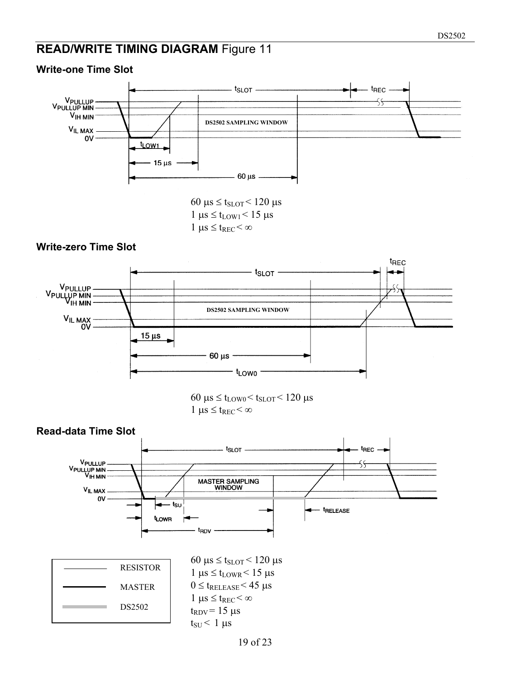#### **READ/WRITE TIMING DIAGRAM** Figure 11

#### $t_{SLOT}$ t<sub>REC</sub> V<sub>PULLUP</sub><br>V<sub>PULLUP</sub> MIN<br>V<sub>IH MIN</sub> **DS2502 SAMPLING WINDOW VIL MAX** ov t<sub>LOW1</sub>  $15 \,\mu s$  $60 \mu s$  -

60  $\mu$ s  $\leq$  t<sub>SLOT</sub> $<$  120  $\mu$ s  $1 \mu s \le t_{LOW1} < 15 \mu s$  $1 \mu s \leq t_{REC} < \infty$ 

#### **Write-zero Time Slot**

**Write-one Time Slot** 



 $60 \mu s \leq t_{LOW0} < t_{SLOT} < 120 \mu s$  $1 \mu s \leq t_{REC} < \infty$ 

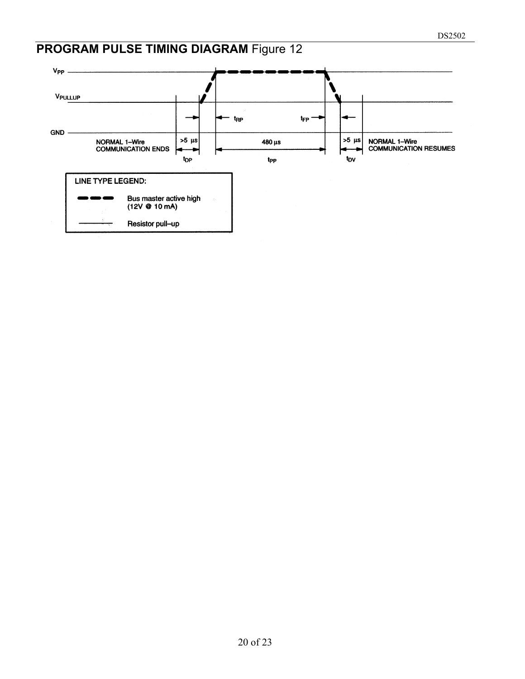# **PROGRAM PULSE TIMING DIAGRAM** Figure 12

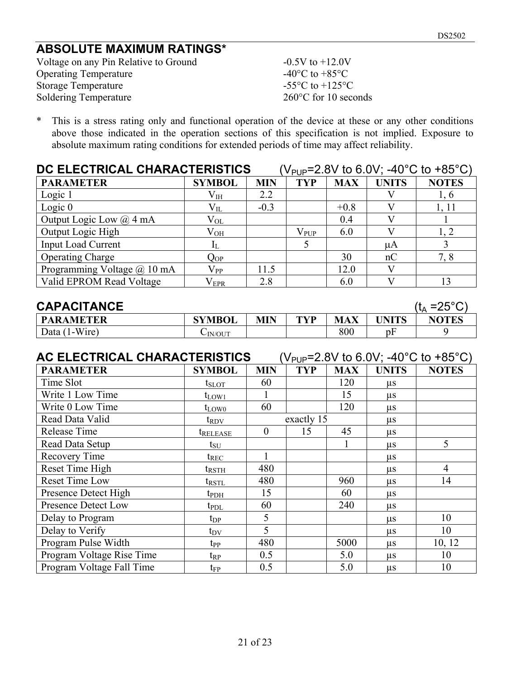#### **ABSOLUTE MAXIMUM RATINGS\***

Voltage on any Pin Relative to Ground  $-0.5V$  to  $+12.0V$ Operating Temperature  $-40^{\circ}$ C to  $+85^{\circ}$ C<br>Storage Temperature  $-55^{\circ}$ C to  $+125^{\circ}$ C Storage Temperature Soldering Temperature 260°C for 10 seconds

\* This is a stress rating only and functional operation of the device at these or any other conditions above those indicated in the operation sections of this specification is not implied. Exposure to absolute maximum rating conditions for extended periods of time may affect reliability.

| DC ELECTRICAL CHARACTERISTICS<br>(V <sub>PUP</sub> =2.8V to 6.0V; -40°C to +85°C) |               |            |               |            |              |              |
|-----------------------------------------------------------------------------------|---------------|------------|---------------|------------|--------------|--------------|
| <b>PARAMETER</b>                                                                  | <b>SYMBOL</b> | <b>MIN</b> | <b>TYP</b>    | <b>MAX</b> | <b>UNITS</b> | <b>NOTES</b> |
| Logic 1                                                                           | $\rm V_{IH}$  | 2.2        |               |            |              | 1, 6         |
| Logic $0$                                                                         | $\rm V_{II.}$ | $-0.3$     |               | $+0.8$     |              | 1, 11        |
| Output Logic Low $(a)$ 4 mA                                                       | $\rm V_{OL}$  |            |               | 0.4        |              |              |
| Output Logic High                                                                 | $\rm V_{OH}$  |            | $\rm V_{PUP}$ | 6.0        |              | 1. 2         |
| <b>Input Load Current</b>                                                         | $I_L$         |            | 5             |            | $\mu A$      |              |
| <b>Operating Charge</b>                                                           | $\rm Q_{OP}$  |            |               | 30         | nC           | 7,8          |
| Programming Voltage @ 10 mA                                                       | $\rm V_{PP}$  | 11.5       |               | 12.0       | V)           |              |
| Valid EPROM Read Voltage                                                          | $\rm V_{EPR}$ | 2.8        |               | 6.0        |              | 13           |

| <b>CAPACITANCE</b> |               |            |     |     |        | (t <sub>^</sub> =25° $\cap$ ) |
|--------------------|---------------|------------|-----|-----|--------|-------------------------------|
| <b>PARAMETER</b>   | <b>SYMBOL</b> | <b>MIN</b> | TVP | MAX | IINITS | <b>NOTES</b>                  |
| Data (1-Wire)      | $\sim$ IN/OUT |            |     | 800 | pŀ     |                               |

| (V <sub>PUP</sub> =2.8V to 6.0V; -40°C to +85°C)<br>AC ELECTRICAL CHARACTERISTICS |                        |            |            |            |              |                |  |
|-----------------------------------------------------------------------------------|------------------------|------------|------------|------------|--------------|----------------|--|
| <b>PARAMETER</b>                                                                  | <b>SYMBOL</b>          | <b>MIN</b> | <b>TYP</b> | <b>MAX</b> | <b>UNITS</b> | <b>NOTES</b>   |  |
| Time Slot                                                                         | $t_{\rm SLOT}$         | 60         |            | 120        | us           |                |  |
| Write 1 Low Time                                                                  | $t_{LOW1}$             |            |            | 15         | μs           |                |  |
| Write 0 Low Time                                                                  | $t_{LOW0}$             | 60         |            | 120        | $\mu$ s      |                |  |
| Read Data Valid                                                                   | $t_{\rm{RDV}}$         | exactly 15 |            | $\mu$ s    |              |                |  |
| Release Time                                                                      | <i><b>t</b>RELEASE</i> | $\theta$   | 15         | 45         | $\mu$ s      |                |  |
| Read Data Setup                                                                   | $t_{\rm SU}$           |            |            |            | $\mu$ s      | 5              |  |
| Recovery Time                                                                     | $t_{REC}$              |            |            |            | $\mu$ s      |                |  |
| Reset Time High                                                                   | $t_{\rm RSTH}$         | 480        |            |            | $\mu s$      | $\overline{4}$ |  |
| Reset Time Low                                                                    | ${\rm t}_{\rm RSTL}$   | 480        |            | 960        | $\mu$ s      | 14             |  |
| Presence Detect High                                                              | $t_{\rm{PDH}}$         | 15         |            | 60         | $\mu$ s      |                |  |
| <b>Presence Detect Low</b>                                                        | $t_{\rm PDL}$          | 60         |            | 240        | us           |                |  |
| Delay to Program                                                                  | $t_{\rm DP}$           | 5          |            |            | $\mu$ s      | 10             |  |
| Delay to Verify                                                                   | $t_{\rm DV}$           | 5          |            |            | $\mu$ s      | 10             |  |
| Program Pulse Width                                                               | $t_{\rm PP}$           | 480        |            | 5000       | μs           | 10, 12         |  |
| Program Voltage Rise Time                                                         | $\mathrm{t_{RP}}$      | 0.5        |            | 5.0        | μs           | 10             |  |
| Program Voltage Fall Time                                                         | $t_{\rm FP}$           | 0.5        |            | 5.0        | $\mu s$      | 10             |  |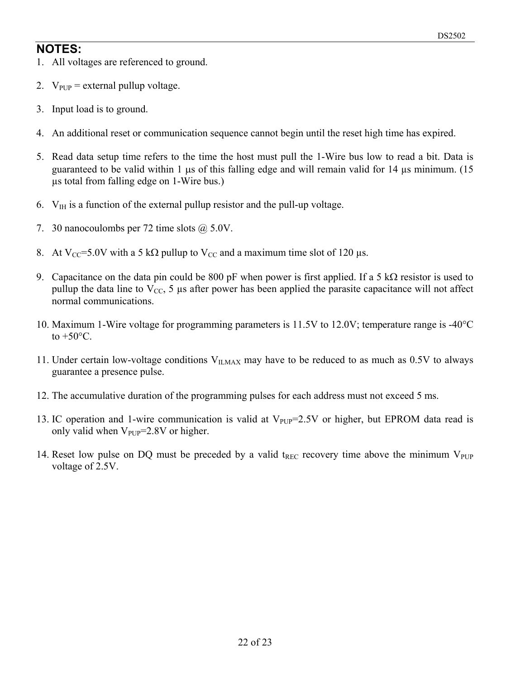#### **NOTES:**

- 1. All voltages are referenced to ground.
- 2.  $V_{\text{PUP}}$  = external pullup voltage.
- 3. Input load is to ground.
- 4. An additional reset or communication sequence cannot begin until the reset high time has expired.
- 5. Read data setup time refers to the time the host must pull the 1-Wire bus low to read a bit. Data is guaranteed to be valid within 1  $\mu$ s of this falling edge and will remain valid for 14  $\mu$ s minimum. (15 µs total from falling edge on 1-Wire bus.)
- 6.  $V_{\text{IH}}$  is a function of the external pullup resistor and the pull-up voltage.
- 7. 30 nanocoulombs per 72 time slots  $\omega$  5.0V.
- 8. At V<sub>CC</sub>=5.0V with a 5 kΩ pullup to V<sub>CC</sub> and a maximum time slot of 120 µs.
- 9. Capacitance on the data pin could be 800 pF when power is first applied. If a 5 k $\Omega$  resistor is used to pullup the data line to  $V_{CC}$ , 5 µs after power has been applied the parasite capacitance will not affect normal communications.
- 10. Maximum 1-Wire voltage for programming parameters is 11.5V to 12.0V; temperature range is -40°C to  $+50^{\circ}$ C.
- 11. Under certain low-voltage conditions  $V_{ILMAX}$  may have to be reduced to as much as 0.5V to always guarantee a presence pulse.
- 12. The accumulative duration of the programming pulses for each address must not exceed 5 ms.
- 13. IC operation and 1-wire communication is valid at  $V_{PUP}=2.5V$  or higher, but EPROM data read is only valid when  $V_{\text{PUP}}=2.8V$  or higher.
- 14. Reset low pulse on DQ must be preceded by a valid t<sub>REC</sub> recovery time above the minimum  $V_{\text{PUP}}$ voltage of 2.5V.